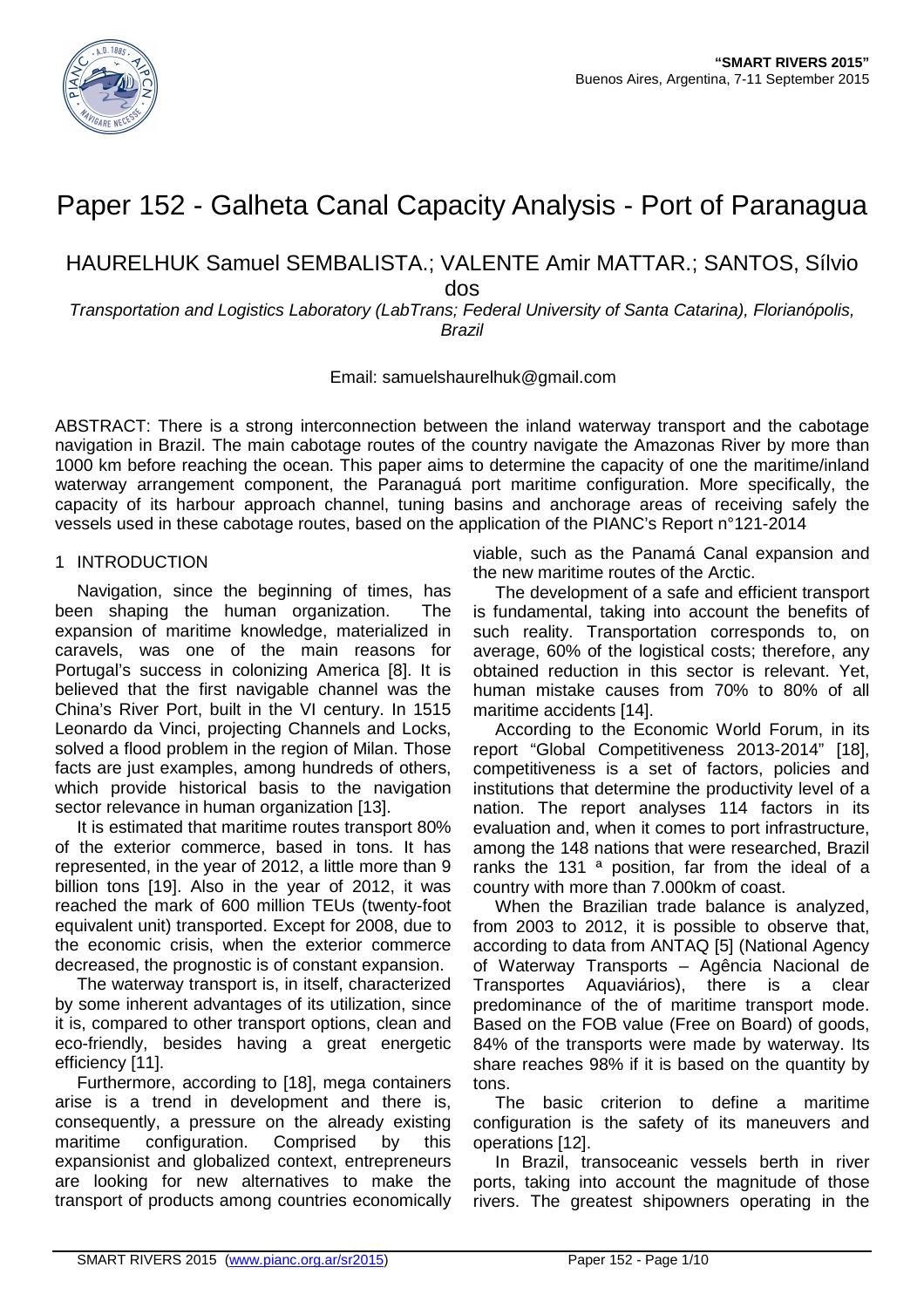

# Paper 152 - Galheta Canal Capacity Analysis - Port of Paranagua

HAURELHUK Samuel SEMBALISTA.; VALENTE Amir MATTAR.; SANTOS, Sílvio

dos

Transportation and Logistics Laboratory (LabTrans; Federal University of Santa Catarina), Florianópolis, Brazil

## Email: samuelshaurelhuk@gmail.com

ABSTRACT: There is a strong interconnection between the inland waterway transport and the cabotage navigation in Brazil. The main cabotage routes of the country navigate the Amazonas River by more than 1000 km before reaching the ocean. This paper aims to determine the capacity of one the maritime/inland waterway arrangement component, the Paranaguá port maritime configuration. More specifically, the capacity of its harbour approach channel, tuning basins and anchorage areas of receiving safely the vessels used in these cabotage routes, based on the application of the PIANC's Report n°121-2014

# 1 INTRODUCTION

Navigation, since the beginning of times, has been shaping the human organization. The expansion of maritime knowledge, materialized in caravels, was one of the main reasons for Portugal's success in colonizing America [8]. It is believed that the first navigable channel was the China's River Port, built in the VI century. In 1515 Leonardo da Vinci, projecting Channels and Locks, solved a flood problem in the region of Milan. Those facts are just examples, among hundreds of others, which provide historical basis to the navigation sector relevance in human organization [13].

It is estimated that maritime routes transport 80% of the exterior commerce, based in tons. It has represented, in the year of 2012, a little more than 9 billion tons [19]. Also in the year of 2012, it was reached the mark of 600 million TEUs (twenty-foot equivalent unit) transported. Except for 2008, due to the economic crisis, when the exterior commerce decreased, the prognostic is of constant expansion.

The waterway transport is, in itself, characterized by some inherent advantages of its utilization, since it is, compared to other transport options, clean and eco-friendly, besides having a great energetic efficiency [11].

Furthermore, according to [18], mega containers arise is a trend in development and there is, consequently, a pressure on the already existing maritime configuration. Comprised by this expansionist and globalized context, entrepreneurs are looking for new alternatives to make the transport of products among countries economically

viable, such as the Panamá Canal expansion and the new maritime routes of the Arctic.

The development of a safe and efficient transport is fundamental, taking into account the benefits of such reality. Transportation corresponds to, on average, 60% of the logistical costs; therefore, any obtained reduction in this sector is relevant. Yet, human mistake causes from 70% to 80% of all maritime accidents [14].

According to the Economic World Forum, in its report "Global Competitiveness 2013-2014" [18], competitiveness is a set of factors, policies and institutions that determine the productivity level of a nation. The report analyses 114 factors in its evaluation and, when it comes to port infrastructure, among the 148 nations that were researched, Brazil ranks the 131<sup>a</sup> position, far from the ideal of a country with more than 7.000km of coast.

When the Brazilian trade balance is analyzed, from 2003 to 2012, it is possible to observe that, according to data from ANTAQ [5] (National Agency of Waterway Transports – Agência Nacional de Transportes Aquaviários), there is a clear predominance of the of maritime transport mode. Based on the FOB value (Free on Board) of goods, 84% of the transports were made by waterway. Its share reaches 98% if it is based on the quantity by tons.

The basic criterion to define a maritime configuration is the safety of its maneuvers and operations [12].

In Brazil, transoceanic vessels berth in river ports, taking into account the magnitude of those rivers. The greatest shipowners operating in the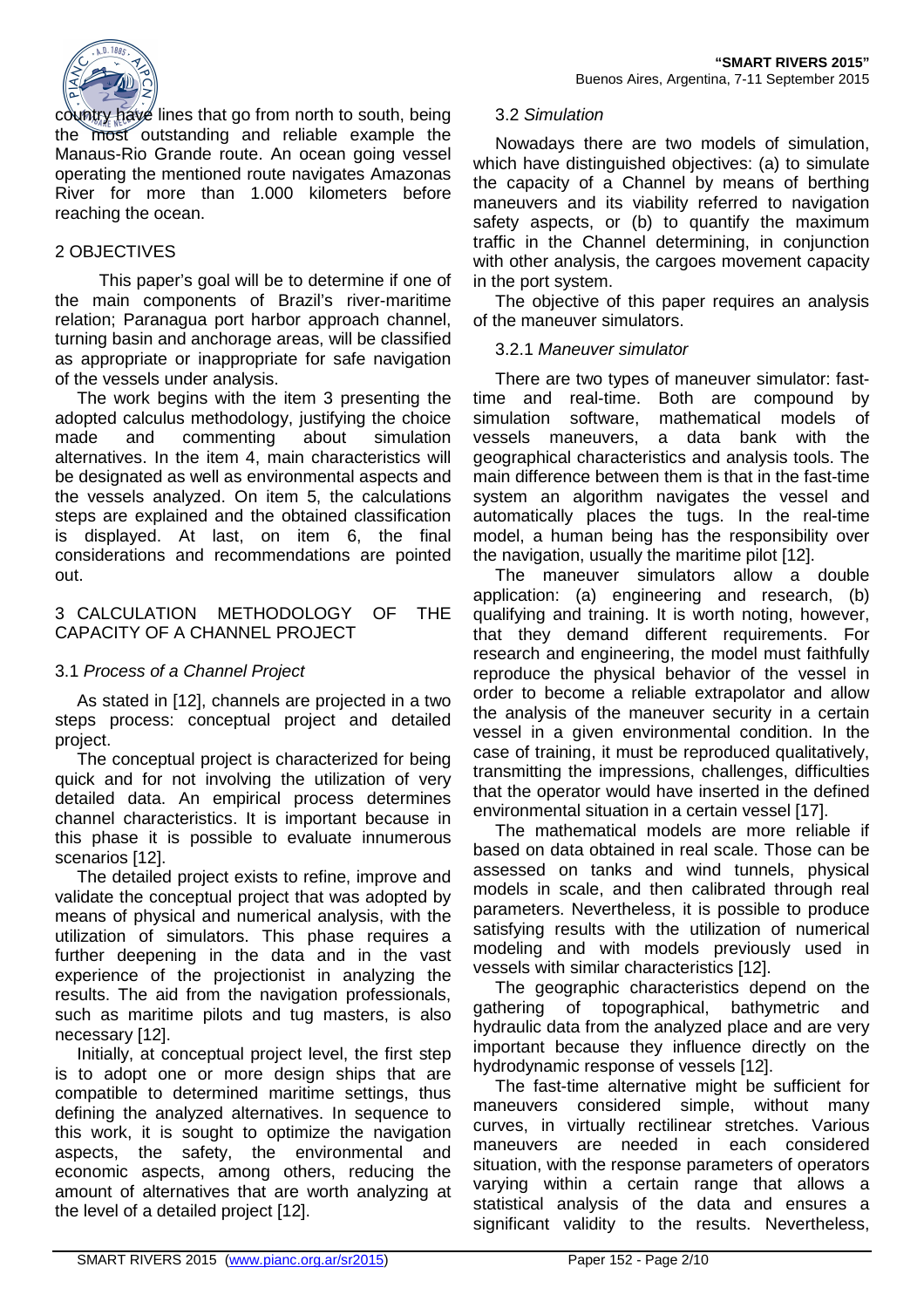

country have lines that go from north to south, being the most outstanding and reliable example the Manaus-Rio Grande route. An ocean going vessel operating the mentioned route navigates Amazonas River for more than 1.000 kilometers before reaching the ocean.

# 2 OBJECTIVES

This paper's goal will be to determine if one of the main components of Brazil's river-maritime relation; Paranagua port harbor approach channel, turning basin and anchorage areas, will be classified as appropriate or inappropriate for safe navigation of the vessels under analysis.

The work begins with the item 3 presenting the adopted calculus methodology, justifying the choice made and commenting about simulation alternatives. In the item 4, main characteristics will be designated as well as environmental aspects and the vessels analyzed. On item 5, the calculations steps are explained and the obtained classification is displayed. At last, on item 6, the final considerations and recommendations are pointed out.

# 3 CALCULATION METHODOLOGY OF THE CAPACITY OF A CHANNEL PROJECT

# 3.1 Process of a Channel Project

As stated in [12], channels are projected in a two steps process: conceptual project and detailed project.

The conceptual project is characterized for being quick and for not involving the utilization of very detailed data. An empirical process determines channel characteristics. It is important because in this phase it is possible to evaluate innumerous scenarios [12].

The detailed project exists to refine, improve and validate the conceptual project that was adopted by means of physical and numerical analysis, with the utilization of simulators. This phase requires a further deepening in the data and in the vast experience of the projectionist in analyzing the results. The aid from the navigation professionals, such as maritime pilots and tug masters, is also necessary [12].

Initially, at conceptual project level, the first step is to adopt one or more design ships that are compatible to determined maritime settings, thus defining the analyzed alternatives. In sequence to this work, it is sought to optimize the navigation aspects, the safety, the environmental and economic aspects, among others, reducing the amount of alternatives that are worth analyzing at the level of a detailed project [12].

# 3.2 Simulation

Nowadays there are two models of simulation, which have distinguished objectives: (a) to simulate the capacity of a Channel by means of berthing maneuvers and its viability referred to navigation safety aspects, or (b) to quantify the maximum traffic in the Channel determining, in conjunction with other analysis, the cargoes movement capacity in the port system.

The objective of this paper requires an analysis of the maneuver simulators.

# 3.2.1 Maneuver simulator

There are two types of maneuver simulator: fasttime and real-time. Both are compound by simulation software, mathematical models of vessels maneuvers, a data bank with the geographical characteristics and analysis tools. The main difference between them is that in the fast-time system an algorithm navigates the vessel and automatically places the tugs. In the real-time model, a human being has the responsibility over the navigation, usually the maritime pilot [12].

The maneuver simulators allow a double application: (a) engineering and research, (b) qualifying and training. It is worth noting, however, that they demand different requirements. For research and engineering, the model must faithfully reproduce the physical behavior of the vessel in order to become a reliable extrapolator and allow the analysis of the maneuver security in a certain vessel in a given environmental condition. In the case of training, it must be reproduced qualitatively, transmitting the impressions, challenges, difficulties that the operator would have inserted in the defined environmental situation in a certain vessel [17].

The mathematical models are more reliable if based on data obtained in real scale. Those can be assessed on tanks and wind tunnels, physical models in scale, and then calibrated through real parameters. Nevertheless, it is possible to produce satisfying results with the utilization of numerical modeling and with models previously used in vessels with similar characteristics [12].

The geographic characteristics depend on the gathering of topographical, bathymetric and hydraulic data from the analyzed place and are very important because they influence directly on the hydrodynamic response of vessels [12].

The fast-time alternative might be sufficient for maneuvers considered simple, without many curves, in virtually rectilinear stretches. Various maneuvers are needed in each considered situation, with the response parameters of operators varying within a certain range that allows a statistical analysis of the data and ensures a significant validity to the results. Nevertheless,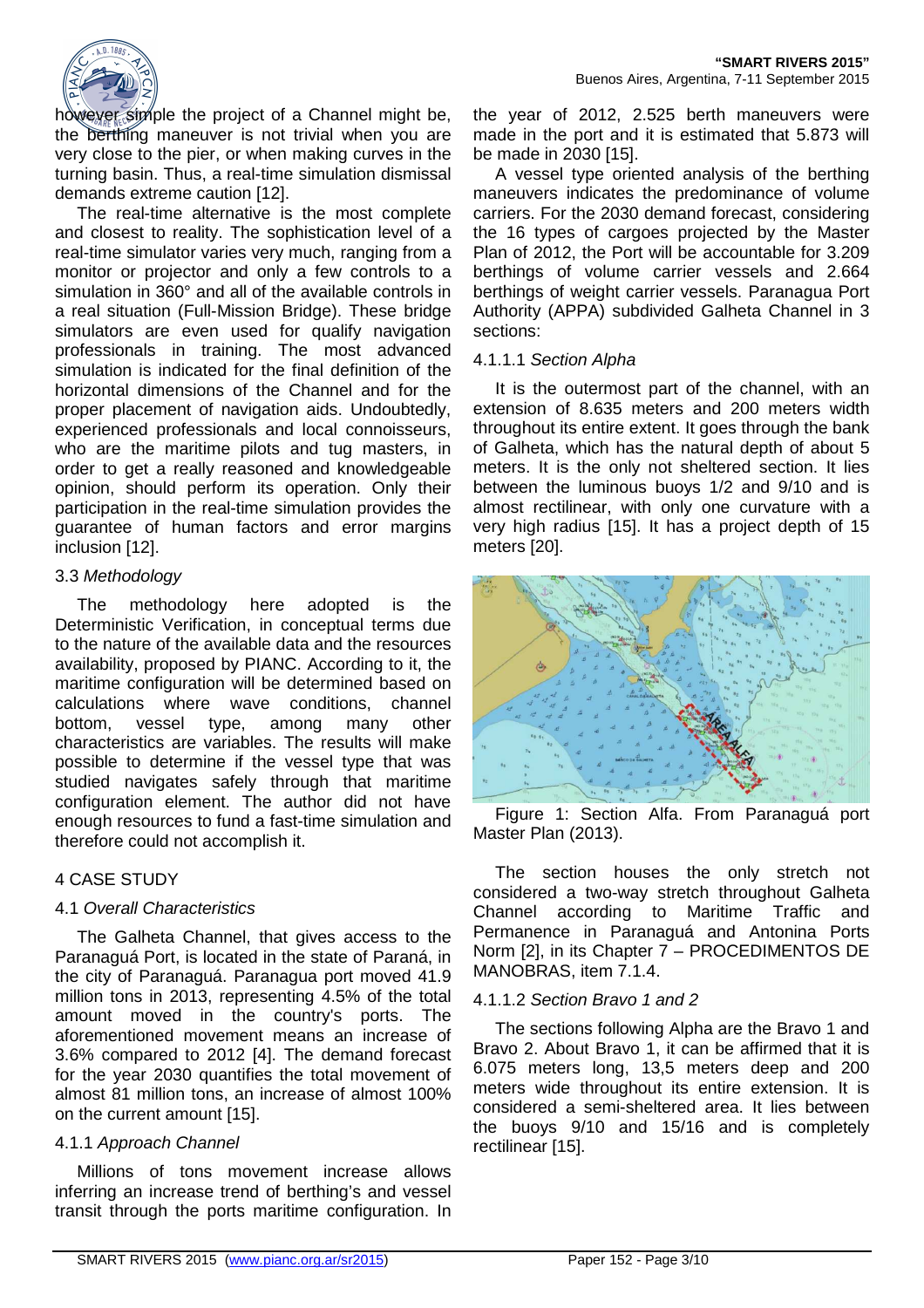

however simple the project of a Channel might be, the berthing maneuver is not trivial when you are very close to the pier, or when making curves in the turning basin. Thus, a real-time simulation dismissal demands extreme caution [12].

The real-time alternative is the most complete and closest to reality. The sophistication level of a real-time simulator varies very much, ranging from a monitor or projector and only a few controls to a simulation in 360° and all of the available controls in a real situation (Full-Mission Bridge). These bridge simulators are even used for qualify navigation professionals in training. The most advanced simulation is indicated for the final definition of the horizontal dimensions of the Channel and for the proper placement of navigation aids. Undoubtedly, experienced professionals and local connoisseurs, who are the maritime pilots and tug masters, in order to get a really reasoned and knowledgeable opinion, should perform its operation. Only their participation in the real-time simulation provides the guarantee of human factors and error margins inclusion [12].

## 3.3 Methodology

The methodology here adopted is the Deterministic Verification, in conceptual terms due to the nature of the available data and the resources availability, proposed by PIANC. According to it, the maritime configuration will be determined based on calculations where wave conditions, channel bottom, vessel type, among many other characteristics are variables. The results will make possible to determine if the vessel type that was studied navigates safely through that maritime configuration element. The author did not have enough resources to fund a fast-time simulation and therefore could not accomplish it.

#### 4 CASE STUDY

# 4.1 Overall Characteristics

The Galheta Channel, that gives access to the Paranaguá Port, is located in the state of Paraná, in the city of Paranaguá. Paranagua port moved 41.9 million tons in 2013, representing 4.5% of the total amount moved in the country's ports. The aforementioned movement means an increase of 3.6% compared to 2012 [4]. The demand forecast for the year 2030 quantifies the total movement of almost 81 million tons, an increase of almost 100% on the current amount [15].

# 4.1.1 Approach Channel

Millions of tons movement increase allows inferring an increase trend of berthing's and vessel transit through the ports maritime configuration. In

the year of 2012, 2.525 berth maneuvers were made in the port and it is estimated that 5.873 will be made in 2030 [15].

A vessel type oriented analysis of the berthing maneuvers indicates the predominance of volume carriers. For the 2030 demand forecast, considering the 16 types of cargoes projected by the Master Plan of 2012, the Port will be accountable for 3.209 berthings of volume carrier vessels and 2.664 berthings of weight carrier vessels. Paranagua Port Authority (APPA) subdivided Galheta Channel in 3 sections:

# 4.1.1.1 Section Alpha

It is the outermost part of the channel, with an extension of 8.635 meters and 200 meters width throughout its entire extent. It goes through the bank of Galheta, which has the natural depth of about 5 meters. It is the only not sheltered section. It lies between the luminous buoys 1/2 and 9/10 and is almost rectilinear, with only one curvature with a very high radius [15]. It has a project depth of 15 meters [20].



Figure 1: Section Alfa. From Paranaguá port Master Plan (2013).

The section houses the only stretch not considered a two-way stretch throughout Galheta Channel according to Maritime Traffic and Permanence in Paranaguá and Antonina Ports Norm [2], in its Chapter 7 – PROCEDIMENTOS DE MANOBRAS, item 7.1.4.

# 4.1.1.2 Section Bravo 1 and 2

The sections following Alpha are the Bravo 1 and Bravo 2. About Bravo 1, it can be affirmed that it is 6.075 meters long, 13,5 meters deep and 200 meters wide throughout its entire extension. It is considered a semi-sheltered area. It lies between the buoys 9/10 and 15/16 and is completely rectilinear [15].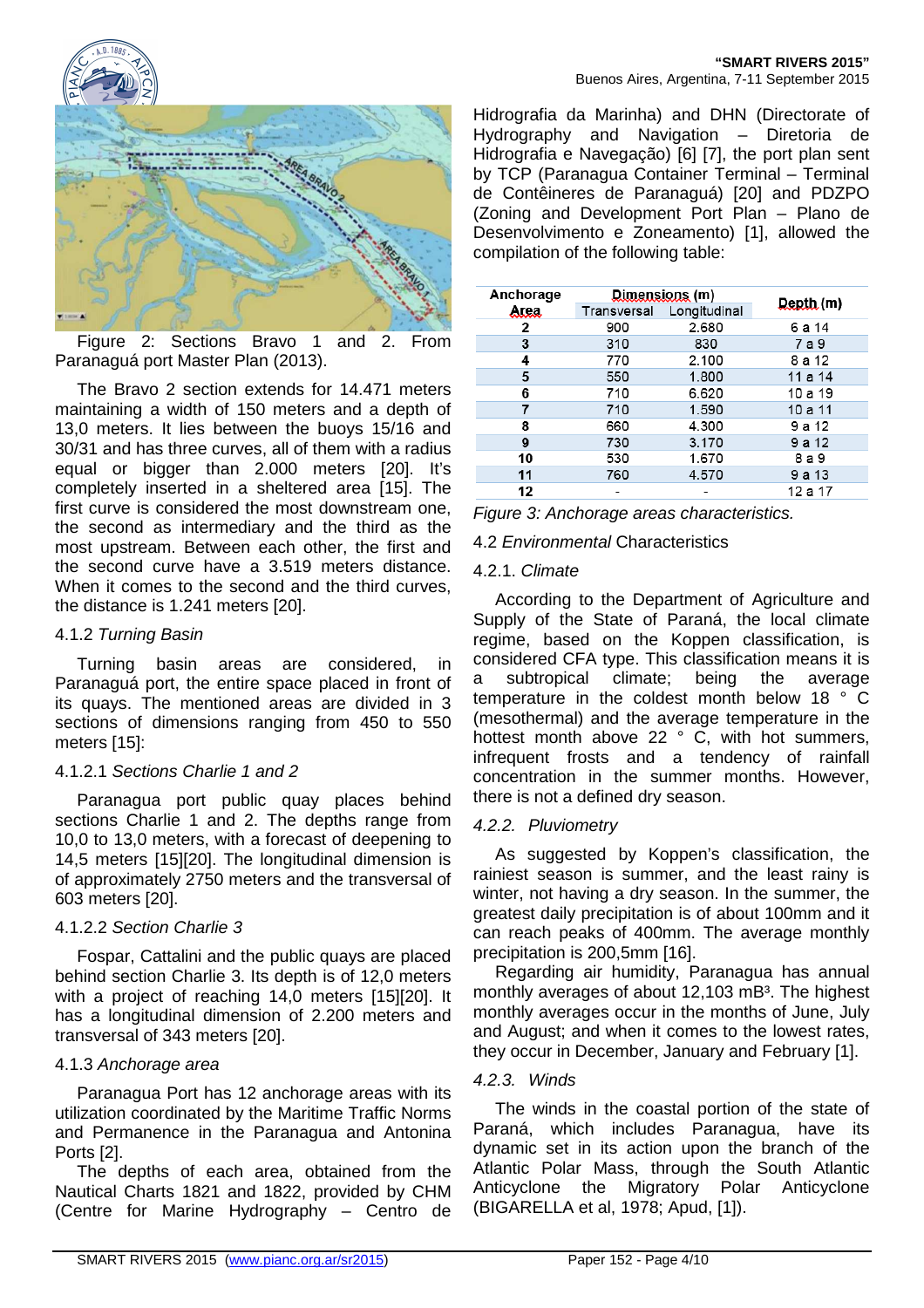

Figure 2: Sections Bravo 1 and 2. From Paranaguá port Master Plan (2013).

The Bravo 2 section extends for 14.471 meters maintaining a width of 150 meters and a depth of 13,0 meters. It lies between the buoys 15/16 and 30/31 and has three curves, all of them with a radius equal or bigger than 2.000 meters [20]. It's completely inserted in a sheltered area [15]. The first curve is considered the most downstream one, the second as intermediary and the third as the most upstream. Between each other, the first and the second curve have a 3.519 meters distance. When it comes to the second and the third curves, the distance is 1.241 meters [20].

# 4.1.2 Turning Basin

Turning basin areas are considered, in Paranaguá port, the entire space placed in front of its quays. The mentioned areas are divided in 3 sections of dimensions ranging from 450 to 550 meters [15]:

# 4.1.2.1 Sections Charlie 1 and 2

Paranagua port public quay places behind sections Charlie 1 and 2. The depths range from 10,0 to 13,0 meters, with a forecast of deepening to 14,5 meters [15][20]. The longitudinal dimension is of approximately 2750 meters and the transversal of 603 meters [20].

# 4.1.2.2 Section Charlie 3

Fospar, Cattalini and the public quays are placed behind section Charlie 3. Its depth is of 12,0 meters with a project of reaching 14,0 meters [15][20]. It has a longitudinal dimension of 2.200 meters and transversal of 343 meters [20].

# 4.1.3 Anchorage area

Paranagua Port has 12 anchorage areas with its utilization coordinated by the Maritime Traffic Norms and Permanence in the Paranagua and Antonina Ports [2].

The depths of each area, obtained from the Nautical Charts 1821 and 1822, provided by CHM (Centre for Marine Hydrography – Centro de

Hidrografia da Marinha) and DHN (Directorate of Hydrography and Navigation – Diretoria de Hidrografia e Navegação) [6] [7], the port plan sent by TCP (Paranagua Container Terminal – Terminal de Contêineres de Paranaguá) [20] and PDZPO (Zoning and Development Port Plan – Plano de Desenvolvimento e Zoneamento) [1], allowed the compilation of the following table:

| Anchorage | Dimensions (m) |              |                  |
|-----------|----------------|--------------|------------------|
| Area      | Transversal    | Longitudinal | <b>Depth</b> (m) |
| 2         | 900            | 2.680        | 6 a 14           |
| 3         | 310            | 830          | 7 a 9            |
| 4         | 770            | 2.100        | 8 a 12           |
| 5         | 550            | 1.800        | 11a14            |
| 6         | 710            | 6.620        | 10 a 19          |
|           | 710            | 1.590        | 10a11            |
| 8         | 660            | 4.300        | 9 a 12           |
| 9         | 730            | 3.170        | 9 a 12           |
| 10        | 530            | 1.670        | 8 a 9            |
| 11        | 760            | 4.570        | 9 a 13           |
| 12        |                |              | 12 a 17          |

Figure 3: Anchorage areas characteristics.

# 4.2 Environmental Characteristics

# 4.2.1. Climate

According to the Department of Agriculture and Supply of the State of Paraná, the local climate regime, based on the Koppen classification, is considered CFA type. This classification means it is subtropical climate; being the average temperature in the coldest month below 18 ° C (mesothermal) and the average temperature in the hottest month above 22 ° C, with hot summers, infrequent frosts and a tendency of rainfall concentration in the summer months. However, there is not a defined dry season.

# 4.2.2. Pluviometry

As suggested by Koppen's classification, the rainiest season is summer, and the least rainy is winter, not having a dry season. In the summer, the greatest daily precipitation is of about 100mm and it can reach peaks of 400mm. The average monthly precipitation is 200,5mm [16].

Regarding air humidity, Paranagua has annual monthly averages of about 12,103 mB<sup>3</sup>. The highest monthly averages occur in the months of June, July and August; and when it comes to the lowest rates, they occur in December, January and February [1].

# 4.2.3. Winds

The winds in the coastal portion of the state of Paraná, which includes Paranagua, have its dynamic set in its action upon the branch of the Atlantic Polar Mass, through the South Atlantic Anticyclone the Migratory Polar Anticyclone (BIGARELLA et al, 1978; Apud, [1]).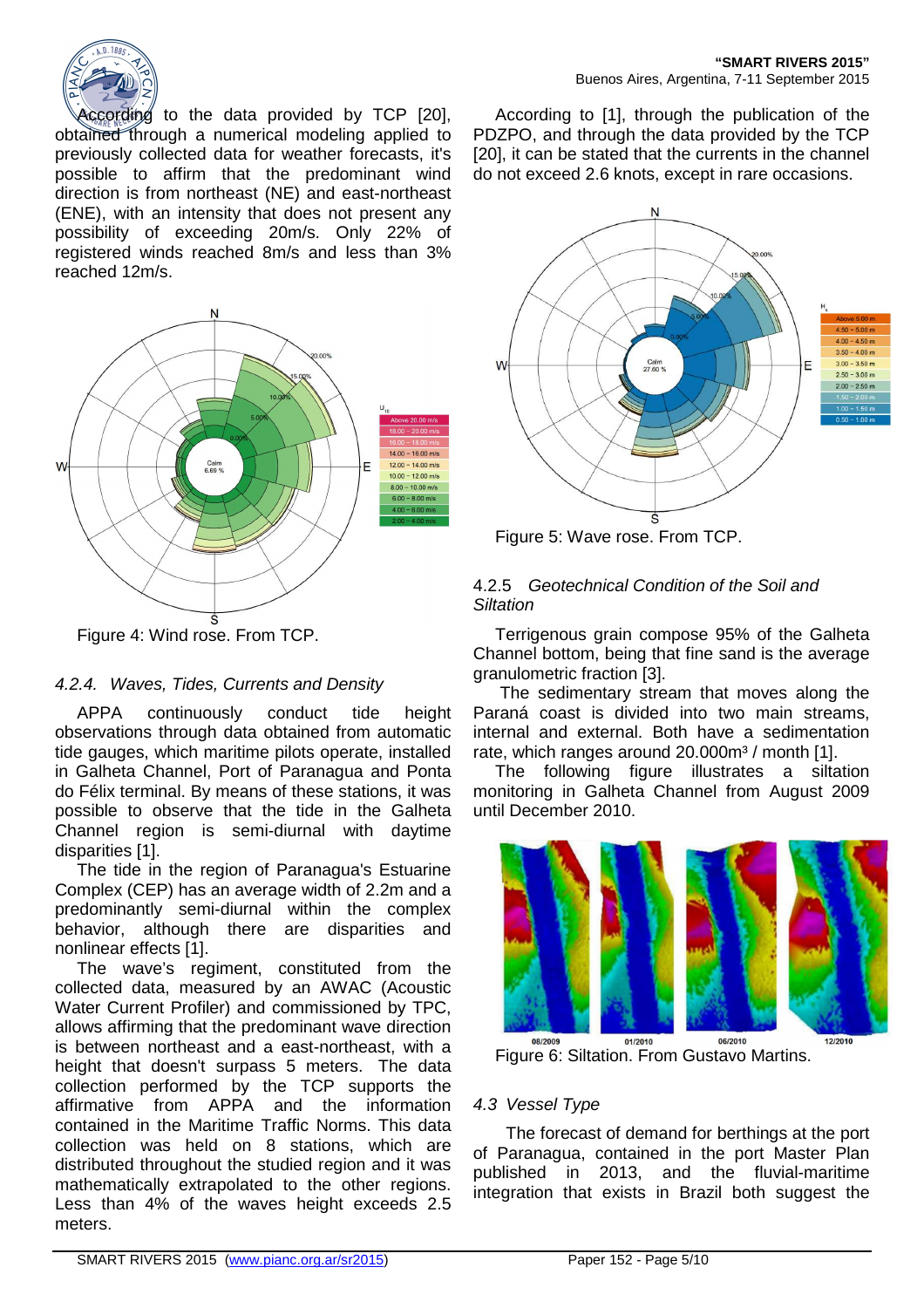

According to the data provided by TCP [20], obtained through a numerical modeling applied to previously collected data for weather forecasts, it's possible to affirm that the predominant wind direction is from northeast (NE) and east-northeast (ENE), with an intensity that does not present any possibility of exceeding 20m/s. Only 22% of registered winds reached 8m/s and less than 3% reached 12m/s.



# 4.2.4. Waves, Tides, Currents and Density

APPA continuously conduct tide height observations through data obtained from automatic tide gauges, which maritime pilots operate, installed in Galheta Channel, Port of Paranagua and Ponta do Félix terminal. By means of these stations, it was possible to observe that the tide in the Galheta Channel region is semi-diurnal with daytime disparities [1].

The tide in the region of Paranagua's Estuarine Complex (CEP) has an average width of 2.2m and a predominantly semi-diurnal within the complex behavior, although there are disparities and nonlinear effects [1].

The wave's regiment, constituted from the collected data, measured by an AWAC (Acoustic Water Current Profiler) and commissioned by TPC, allows affirming that the predominant wave direction is between northeast and a east-northeast, with a height that doesn't surpass 5 meters. The data collection performed by the TCP supports the affirmative from APPA and the information contained in the Maritime Traffic Norms. This data collection was held on 8 stations, which are distributed throughout the studied region and it was mathematically extrapolated to the other regions. Less than 4% of the waves height exceeds 2.5 meters.

According to [1], through the publication of the PDZPO, and through the data provided by the TCP [20], it can be stated that the currents in the channel do not exceed 2.6 knots, except in rare occasions.



Figure 5: Wave rose. From TCP.

# 4.2.5 Geotechnical Condition of the Soil and **Siltation**

Terrigenous grain compose 95% of the Galheta Channel bottom, being that fine sand is the average granulometric fraction [3].

 The sedimentary stream that moves along the Paraná coast is divided into two main streams, internal and external. Both have a sedimentation rate, which ranges around 20.000m<sup>3</sup> / month [1].

The following figure illustrates a siltation monitoring in Galheta Channel from August 2009 until December 2010.



Figure 6: Siltation. From Gustavo Martins.

# 4.3 Vessel Type

The forecast of demand for berthings at the port of Paranagua, contained in the port Master Plan published in 2013, and the fluvial-maritime integration that exists in Brazil both suggest the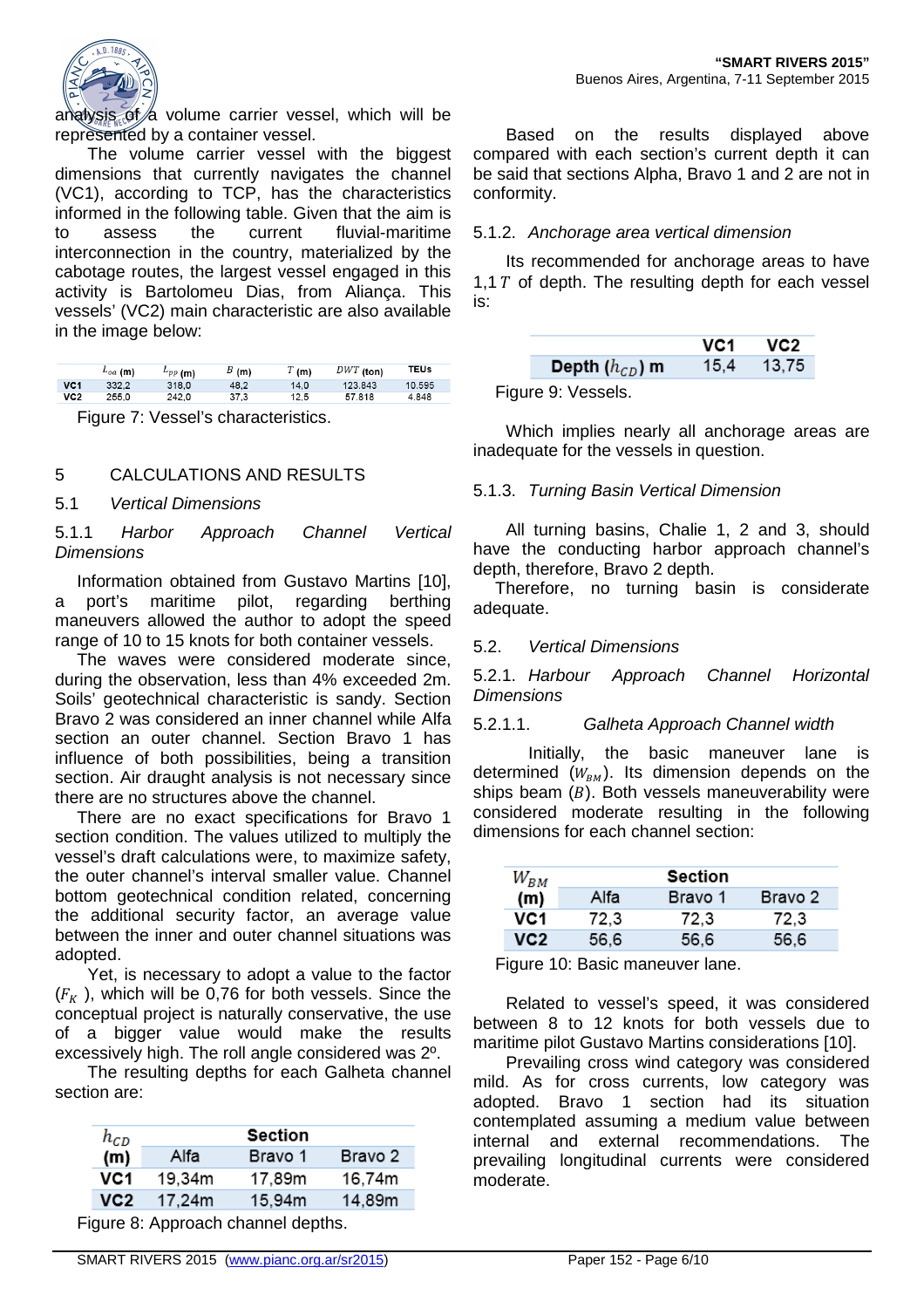

analysis of  $\alpha$  volume carrier vessel, which will be represented by a container vessel.

The volume carrier vessel with the biggest dimensions that currently navigates the channel (VC1), according to TCP, has the characteristics informed in the following table. Given that the aim is to assess the current fluvial-maritime interconnection in the country, materialized by the cabotage routes, the largest vessel engaged in this activity is Bartolomeu Dias, from Aliança. This vessels' (VC2) main characteristic are also available in the image below:

|                 | $L_{oa}$ (m) | $^L$ <i>PP</i> (m) | B(m) | T(m) | $DWT$ (ton) | TEUs   |
|-----------------|--------------|--------------------|------|------|-------------|--------|
| VC <sub>1</sub> | 332.2        | 318.0              | 48.2 | 14.0 | 123.843     | 10.595 |
| VC2             | 255.0        | 242.0              | 37.3 | 12.5 | 57.818      | 4.848  |

Figure 7: Vessel's characteristics.

## 5 CALCULATIONS AND RESULTS

# 5.1 Vertical Dimensions

5.1.1 Harbor Approach Channel Vertical **Dimensions** 

Information obtained from Gustavo Martins [10], a port's maritime pilot, regarding berthing maneuvers allowed the author to adopt the speed range of 10 to 15 knots for both container vessels.

The waves were considered moderate since, during the observation, less than 4% exceeded 2m. Soils' geotechnical characteristic is sandy. Section Bravo 2 was considered an inner channel while Alfa section an outer channel. Section Bravo 1 has influence of both possibilities, being a transition section. Air draught analysis is not necessary since there are no structures above the channel.

There are no exact specifications for Bravo 1 section condition. The values utilized to multiply the vessel's draft calculations were, to maximize safety, the outer channel's interval smaller value. Channel bottom geotechnical condition related, concerning the additional security factor, an average value between the inner and outer channel situations was adopted.

Yet, is necessary to adopt a value to the factor  $(F_K$ ), which will be 0,76 for both vessels. Since the conceptual project is naturally conservative, the use of a bigger value would make the results excessively high. The roll angle considered was 2º.

The resulting depths for each Galheta channel section are:

| $h_{CD}$ |        | Section |         |
|----------|--------|---------|---------|
| (m)      | Alfa   | Bravo 1 | Bravo 2 |
| VC1      | 19,34m | 17.89m  | 16.74m  |
| VC2      | 17.24m | 15,94m  | 14,89m  |
|          |        |         |         |

Figure 8: Approach channel depths.

Based on the results displayed above compared with each section's current depth it can be said that sections Alpha, Bravo 1 and 2 are not in conformity.

#### 5.1.2. Anchorage area vertical dimension

Its recommended for anchorage areas to have 1,1  $T$  of depth. The resulting depth for each vessel is:

|                    | VC1. | VC <sub>2</sub> |
|--------------------|------|-----------------|
| Depth $(h_{CD})$ m | 15.4 | 13,75           |

Figure 9: Vessels.

Which implies nearly all anchorage areas are inadequate for the vessels in question.

#### 5.1.3. Turning Basin Vertical Dimension

All turning basins, Chalie 1, 2 and 3, should have the conducting harbor approach channel's depth, therefore, Bravo 2 depth.

Therefore, no turning basin is considerate adequate.

## 5.2. Vertical Dimensions

5.2.1. Harbour Approach Channel Horizontal **Dimensions** 

#### 5.2.1.1. Galheta Approach Channel width

Initially, the basic maneuver lane is determined  $(W_{BM})$ . Its dimension depends on the ships beam  $(B)$ . Both vessels maneuverability were considered moderate resulting in the following dimensions for each channel section:

| $W_{BM}$        | Section |         |         |
|-----------------|---------|---------|---------|
| (m)             | Alfa    | Bravo 1 | Bravo 2 |
| VC <sub>1</sub> | 72,3    | 72.3    | 72.3    |
| VC2             | 56.6    | 56.6    | 56.6    |

Figure 10: Basic maneuver lane.

Related to vessel's speed, it was considered between 8 to 12 knots for both vessels due to maritime pilot Gustavo Martins considerations [10].

Prevailing cross wind category was considered mild. As for cross currents, low category was adopted. Bravo 1 section had its situation contemplated assuming a medium value between internal and external recommendations. The prevailing longitudinal currents were considered moderate.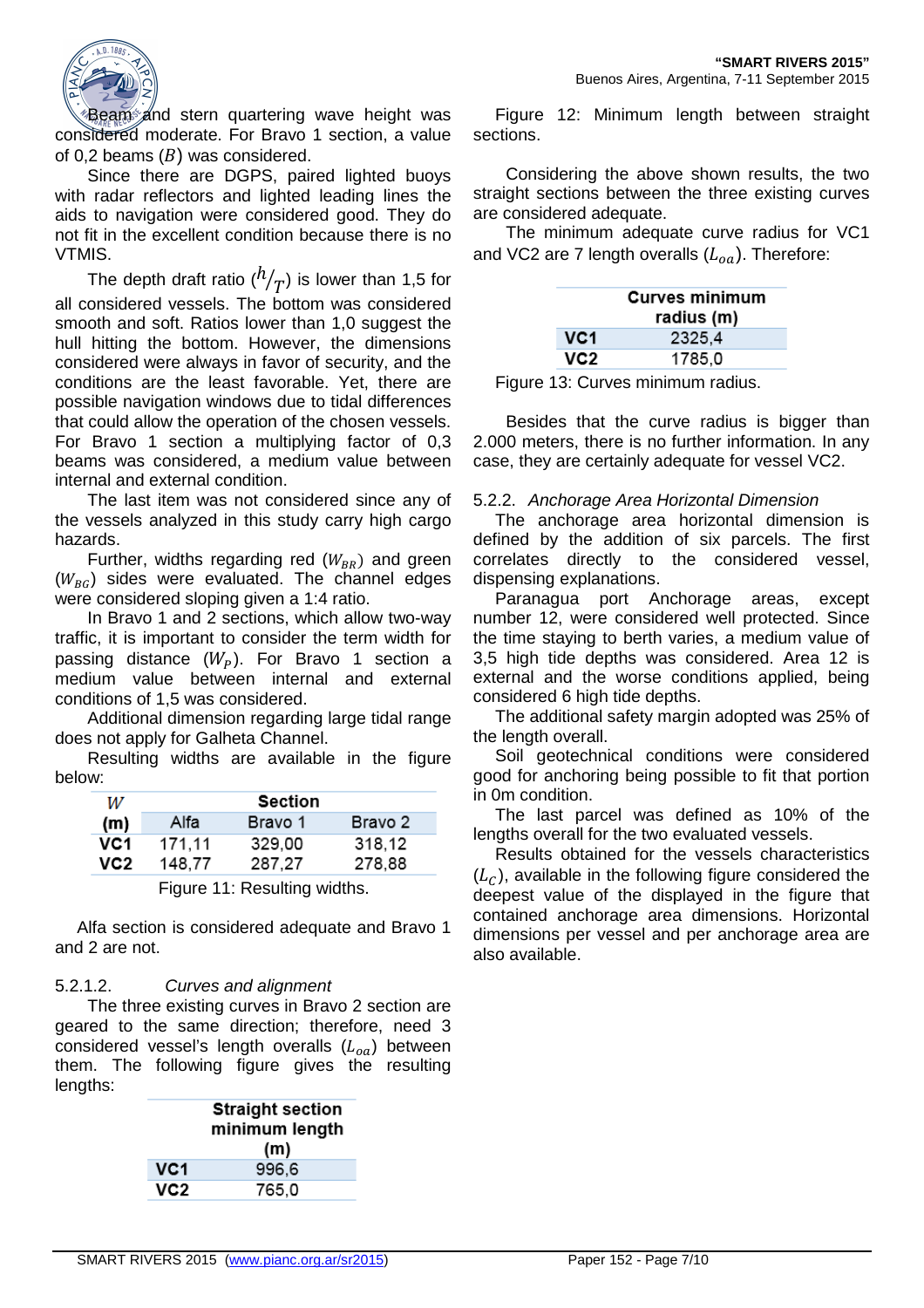

Beam and stern quartering wave height was considered moderate. For Bravo 1 section, a value of 0,2 beams  $(B)$  was considered.

Since there are DGPS, paired lighted buoys with radar reflectors and lighted leading lines the aids to navigation were considered good. They do not fit in the excellent condition because there is no VTMIS.

The depth draft ratio  $\binom{h}{T}$  is lower than 1,5 for all considered vessels. The bottom was considered smooth and soft. Ratios lower than 1,0 suggest the hull hitting the bottom. However, the dimensions considered were always in favor of security, and the conditions are the least favorable. Yet, there are possible navigation windows due to tidal differences that could allow the operation of the chosen vessels. For Bravo 1 section a multiplying factor of 0,3 beams was considered, a medium value between internal and external condition.

The last item was not considered since any of the vessels analyzed in this study carry high cargo hazards.

Further, widths regarding red  $(W_{BR})$  and green  $(W_{BC})$  sides were evaluated. The channel edges were considered sloping given a 1:4 ratio.

In Bravo 1 and 2 sections, which allow two-way traffic, it is important to consider the term width for passing distance  $(W<sub>p</sub>)$ . For Bravo 1 section a medium value between internal and external conditions of 1,5 was considered.

Additional dimension regarding large tidal range does not apply for Galheta Channel.

Resulting widths are available in the figure below:

| W   | Section |         |         |
|-----|---------|---------|---------|
| (m) | Alfa    | Bravo 1 | Bravo 2 |
| VC1 | 171.11  | 329.00  | 318,12  |
| VC2 | 148,77  | 287.27  | 278,88  |
|     |         |         |         |

Figure 11: Resulting widths.

Alfa section is considered adequate and Bravo 1 and 2 are not.

# 5.2.1.2. Curves and alignment

The three existing curves in Bravo 2 section are geared to the same direction; therefore, need 3 considered vessel's length overalls  $(L_{oa})$  between them. The following figure gives the resulting lengths:

|     | <b>Straight section</b><br>minimum length<br>(m) |  |
|-----|--------------------------------------------------|--|
| VC1 | 996,6                                            |  |
| VC2 | 765,0                                            |  |
|     |                                                  |  |

Figure 12: Minimum length between straight sections.

Considering the above shown results, the two straight sections between the three existing curves are considered adequate.

The minimum adequate curve radius for VC1 and VC2 are 7 length overalls  $(L_{oa})$ . Therefore:

|     | <b>Curves minimum</b><br>radius (m) |  |
|-----|-------------------------------------|--|
| VC1 | 2325,4                              |  |
| VC2 | 1785.0                              |  |

Figure 13: Curves minimum radius.

Besides that the curve radius is bigger than 2.000 meters, there is no further information. In any case, they are certainly adequate for vessel VC2.

## 5.2.2. Anchorage Area Horizontal Dimension

The anchorage area horizontal dimension is defined by the addition of six parcels. The first correlates directly to the considered vessel, dispensing explanations.

Paranagua port Anchorage areas, except number 12, were considered well protected. Since the time staying to berth varies, a medium value of 3,5 high tide depths was considered. Area 12 is external and the worse conditions applied, being considered 6 high tide depths.

The additional safety margin adopted was 25% of the length overall.

Soil geotechnical conditions were considered good for anchoring being possible to fit that portion in 0m condition.

The last parcel was defined as 10% of the lengths overall for the two evaluated vessels.

Results obtained for the vessels characteristics  $(L<sub>c</sub>)$ , available in the following figure considered the deepest value of the displayed in the figure that contained anchorage area dimensions. Horizontal dimensions per vessel and per anchorage area are also available.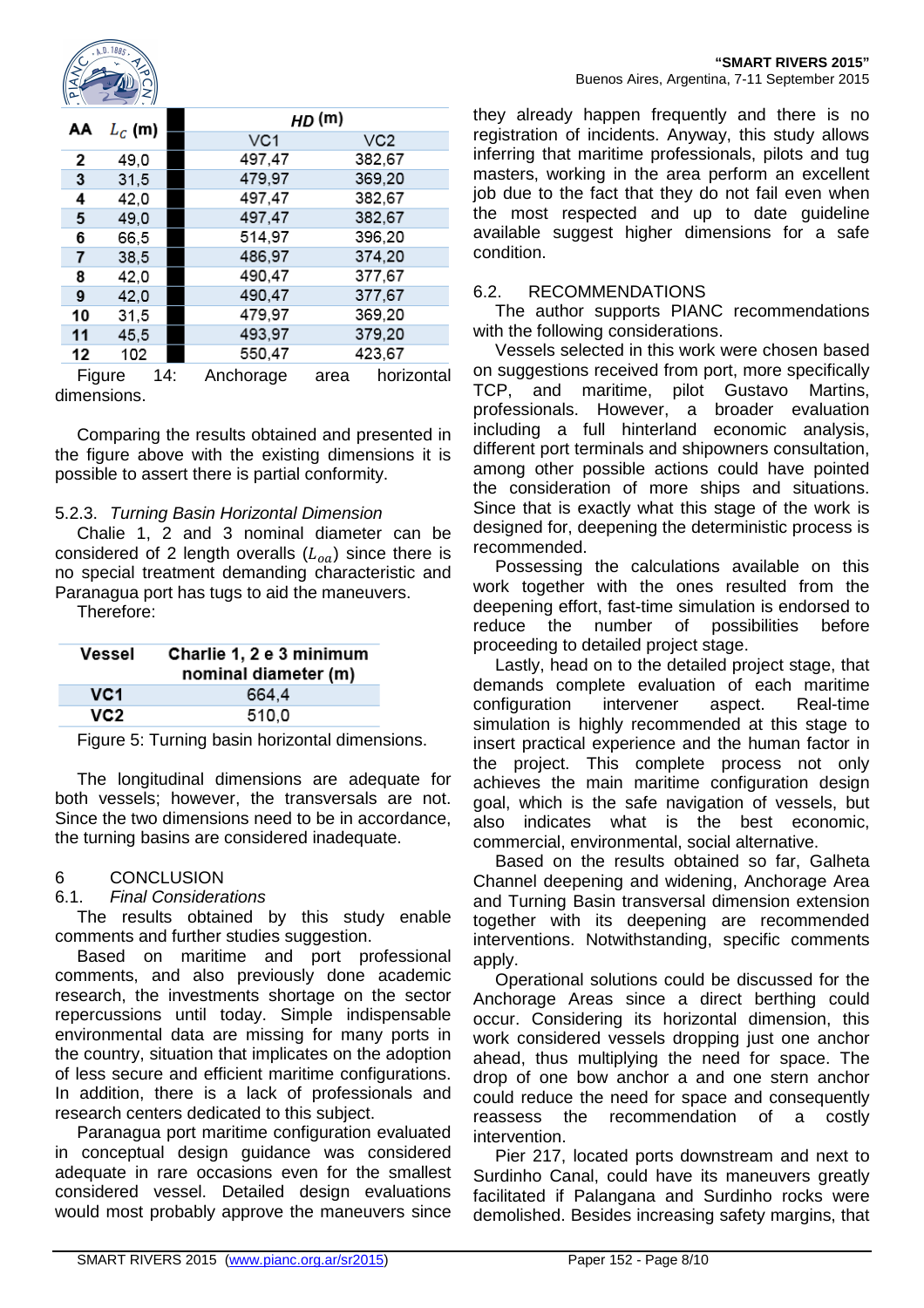

| $W = V$ | $\rightarrow$ $\prime$ $\cdot$ $\prime\prime$ |                  |               |
|---------|-----------------------------------------------|------------------|---------------|
| АΑ      | $L_c$ (m)                                     |                  | HD (m)        |
|         |                                               | VC1              | VC2           |
| 2       | 49,0                                          | 497,47           | 382,67        |
| 3       | 31,5                                          | 479,97           | 369,20        |
| 4       | 42,0                                          | 497,47           | 382,67        |
| 5       | 49,0                                          | 497,47           | 382,67        |
| 6       | 66,5                                          | 514,97           | 396,20        |
| 7       | 38,5                                          | 486,97           | 374,20        |
| 8       | 42,0                                          | 490,47           | 377,67        |
| 9       | 42,0                                          | 490,47           | 377,67        |
| 10      | 31,5                                          | 479,97           | 369,20        |
| 11      | 45,5                                          | 493,97           | 379,20        |
| 12      | 102                                           | 550,47           | 423,67        |
|         | <b>Figures</b><br><i>AA</i> .                 | $0$ and over $0$ | المعمد داسمها |

Figure 14: Anchorage area horizontal dimensions.

Comparing the results obtained and presented in the figure above with the existing dimensions it is possible to assert there is partial conformity.

# 5.2.3. Turning Basin Horizontal Dimension

Chalie 1, 2 and 3 nominal diameter can be considered of 2 length overalls  $(L_{oa})$  since there is no special treatment demanding characteristic and Paranagua port has tugs to aid the maneuvers.

Therefore:

| Vessel | Charlie 1, 2 e 3 minimum<br>nominal diameter (m) |  |
|--------|--------------------------------------------------|--|
| VC1    | 664.4                                            |  |
| VC2    | 510.0                                            |  |

Figure 5: Turning basin horizontal dimensions.

The longitudinal dimensions are adequate for both vessels; however, the transversals are not. Since the two dimensions need to be in accordance, the turning basins are considered inadequate.

#### 6 CONCLUSION

#### 6.1. Final Considerations

The results obtained by this study enable comments and further studies suggestion.

Based on maritime and port professional comments, and also previously done academic research, the investments shortage on the sector repercussions until today. Simple indispensable environmental data are missing for many ports in the country, situation that implicates on the adoption of less secure and efficient maritime configurations. In addition, there is a lack of professionals and research centers dedicated to this subject.

Paranagua port maritime configuration evaluated in conceptual design guidance was considered adequate in rare occasions even for the smallest considered vessel. Detailed design evaluations would most probably approve the maneuvers since

they already happen frequently and there is no registration of incidents. Anyway, this study allows inferring that maritime professionals, pilots and tug masters, working in the area perform an excellent job due to the fact that they do not fail even when the most respected and up to date guideline available suggest higher dimensions for a safe condition.

## 6.2. RECOMMENDATIONS

The author supports PIANC recommendations with the following considerations.

Vessels selected in this work were chosen based on suggestions received from port, more specifically TCP, and maritime, pilot Gustavo Martins, professionals. However, a broader evaluation including a full hinterland economic analysis, different port terminals and shipowners consultation, among other possible actions could have pointed the consideration of more ships and situations. Since that is exactly what this stage of the work is designed for, deepening the deterministic process is recommended.

Possessing the calculations available on this work together with the ones resulted from the deepening effort, fast-time simulation is endorsed to reduce the number of possibilities before proceeding to detailed project stage.

Lastly, head on to the detailed project stage, that demands complete evaluation of each maritime configuration intervener aspect. Real-time simulation is highly recommended at this stage to insert practical experience and the human factor in the project. This complete process not only achieves the main maritime configuration design goal, which is the safe navigation of vessels, but also indicates what is the best economic, commercial, environmental, social alternative.

Based on the results obtained so far, Galheta Channel deepening and widening, Anchorage Area and Turning Basin transversal dimension extension together with its deepening are recommended interventions. Notwithstanding, specific comments apply.

Operational solutions could be discussed for the Anchorage Areas since a direct berthing could occur. Considering its horizontal dimension, this work considered vessels dropping just one anchor ahead, thus multiplying the need for space. The drop of one bow anchor a and one stern anchor could reduce the need for space and consequently reassess the recommendation of a costly intervention.

Pier 217, located ports downstream and next to Surdinho Canal, could have its maneuvers greatly facilitated if Palangana and Surdinho rocks were demolished. Besides increasing safety margins, that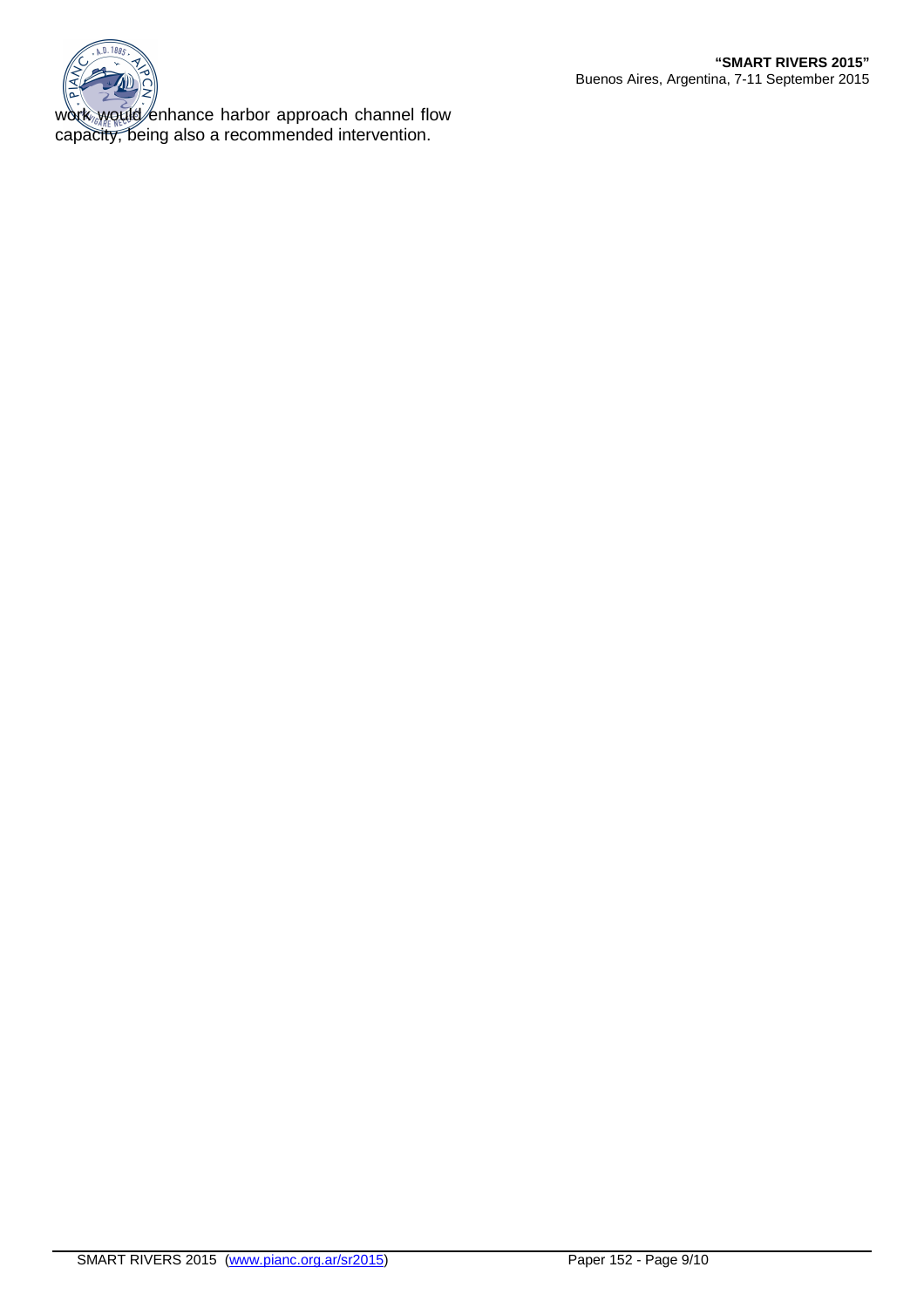

work would enhance harbor approach channel flow capacity, being also a recommended intervention.